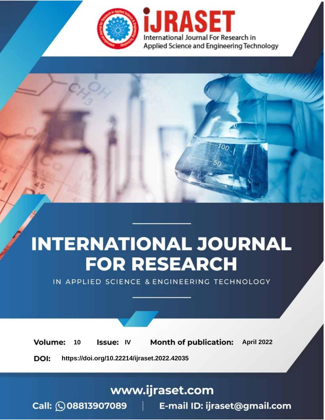

# **INTERNATIONAL JOURNAL FOR RESEARCH**

IN APPLIED SCIENCE & ENGINEERING TECHNOLOGY

10 **Issue: IV Month of publication:** April 2022 **Volume:** 

**https://doi.org/10.22214/ijraset.2022.42035**DOI:

www.ijraset.com

Call: 008813907089 | E-mail ID: ijraset@gmail.com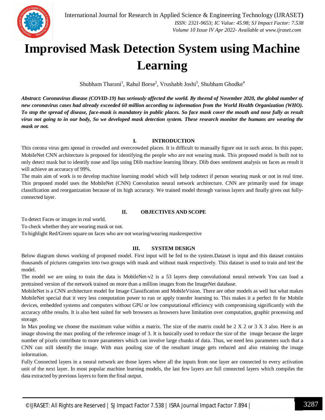

### **Improvised Mask Detection System using Machine Learning**

 $Shubham Tharani<sup>1</sup>, Rahul Borse<sup>2</sup>, Vrushabh Joshi<sup>3</sup>, Shubham Ghodke<sup>4</sup>$ 

*Abstract: Coronavirus disease (COVID-19) has seriously affected the world. By theend of November 2020, the global number of new coronavirus cases had already exceeded 60 million according to information from the World Health Organization (WHO). To stop the spread of disease, face-mask is mandatory in public places. So face mask cover the mouth and nose fully as result virus not going to in our body, So we developed mask detection system. These research monitor the humans are wearing the mask or not.*

#### **I. INTRODUCTION**

This corona virus gets spread in crowded and overcrowded places. It is difficult to manually figure out in such areas. In this paper, MobileNet CNN architecture is proposed for identifying the people who are not wearing mask. This proposed model is built not to only detect mask but to identify nose and lips using Dlib machine learning library. Dlib does sentiment analysis on faces as result it will achieve an accuracy of 99%.

The main aim of work is to develop machine learning model which will help todetect if person wearing mask or not in real time. This proposed model uses the MobileNet (CNN) Convolution neural network architecture. CNN are primarily used for image classification and reorganization because of its high accuracy. We trained model through various layers and finally gives out fullyconnected layer.

#### **II. OBJECTIVES AND SCOPE**

To detect Faces or images in real world.

To check whether they are wearing mask or not.

To highlight Red/Green square on faces who are not wearing/wearing maskrespective

#### **III. SYSTEM DESIGN**

Below diagram shows working of proposed model. First input will be fed to the system.Dataset is input and this dataset contains thousands of pictures categories into two groups with mask and without mask respectively. This dataset is used to train and test the model.

The model we are using to train the data is MobileNet-v2 is a 53 layers deep convolutional neural network You can load a pretrained version of the network trained on more than a million images from the ImageNet database.

MobileNet is a CNN architecture model for Image Classification and MobileVision. There are other models as well but what makes MobileNet special that it very less computation power to run or apply transfer learning to. This makes it a perfect fit for Mobile devices, embedded systems and computers without GPU or low computational efficiency with compromising significantly with the accuracy ofthe results. It is also best suited for web browsers as browsers have limitation over computation, graphic processing and storage.

In Max pooling we choose the maximum value within a matrix. The size of the matrix could be  $2 \times 2$  or  $3 \times 3$  also. Here is an image showing the max pooling of the reference image of 3. It is basically used to reduce the size of the image because the larger number of pixels contribute to more parameters which can involve large chunks of data. Thus, we need less parameters such that a CNN can still identify the image. With max pooling size of the resultant image gets reduced and also retaining the image information.

Fully Connected layers in a neural network are those layers where all the inputs from one layer are connected to every activation unit of the next layer. In most popular machine learning models, the last few layers are full connected layers which compiles the data extracted by previous layers to form the final output.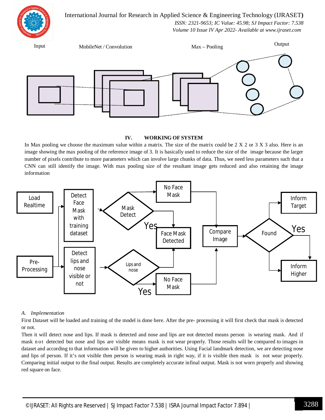International Journal for Research in Applied Science & Engineering Technology (IJRASET**)**



 *ISSN: 2321-9653; IC Value: 45.98; SJ Impact Factor: 7.538 Volume 10 Issue IV Apr 2022- Available at www.ijraset.com*

Input MobileNet / Convolution Max – Pooling Output

#### **IV. WORKING OF SYSTEM**

In Max pooling we choose the maximum value within a matrix. The size of the matrix could be  $2 \times 2$  or  $3 \times 3$  also. Here is an image showing the max pooling of the reference image of 3. It is basically used to reduce the size of the image because the larger number of pixels contribute to more parameters which can involve large chunks of data. Thus, we need less parameters such that a CNN can still identify the image. With max pooling size of the resultant image gets reduced and also retaining the image information



#### *A. Implementation*

First Dataset will be loaded and training of the model is done here. After the pre- processing it will first check that mask is detected or not.

Then it will detect nose and lips. If mask is detected and nose and lips are not detected means person is wearing mask. And if mask n ot detected but nose and lips are visible means mask is not wear properly. Those results will be compared to images in dataset and according to that information will be given to higher authorities. Using Facial landmark detection, we are detecting nose and lips of person. If it's not visible then person is wearing mask in right way, if it is visible then mask is not wear properly. Comparing initial output to the final output. Results are completely accurate infinal output. Mask is not worn properly and showing red square on face.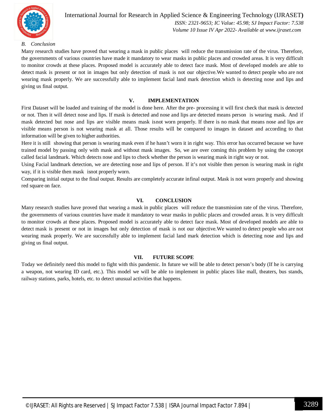

#### International Journal for Research in Applied Science & Engineering Technology (IJRASET**)**  *ISSN: 2321-9653; IC Value: 45.98; SJ Impact Factor: 7.538 Volume 10 Issue IV Apr 2022- Available at www.ijraset.com*

#### *B. Conclusion*

Many research studies have proved that wearing a mask in public places will reduce the transmission rate of the virus. Therefore, the governments of various countries have made it mandatory to wear masks in public places and crowded areas. It is very difficult to monitor crowds at these places. Proposed model is accurately able to detect face mask. Most of developed models are able to detect mask is present or not in images but only detection of mask is not our objective.We wanted to detect people who are not wearing mask properly. We are successfully able to implement facial land mark detection which is detecting nose and lips and giving us final output.

#### **V. IMPLEMENTATION**

First Dataset will be loaded and training of the model is done here. After the pre- processing it will first check that mask is detected or not. Then it will detect nose and lips. If mask is detected and nose and lips are detected means person is wearing mask. And if mask detected but nose and lips are visible means mask isnot worn properly. If there is no mask that means nose and lips are visible means person is not wearing mask at all. Those results will be compared to images in dataset and according to that information will be given to higher authorities.

Here it is still showing that person is wearing mask even if he hasn't worn it in right way. This error has occurred because we have trained model by passing only with mask and without mask images. So, we are over coming this problem by using the concept called facial landmark. Which detects nose and lips to check whether the person is wearing mask in right way or not.

Using Facial landmark detection, we are detecting nose and lips of person. If it's not visible then person is wearing mask in right way, if it is visible then mask isnot properly worn.

Comparing initial output to the final output. Results are completely accurate infinal output. Mask is not worn properly and showing red square on face.

#### **VI. CONCLUSION**

Many research studies have proved that wearing a mask in public places will reduce the transmission rate of the virus. Therefore, the governments of various countries have made it mandatory to wear masks in public places and crowded areas. It is very difficult to monitor crowds at these places. Proposed model is accurately able to detect face mask. Most of developed models are able to detect mask is present or not in images but only detection of mask is not our objective.We wanted to detect people who are not wearing mask properly. We are successfully able to implement facial land mark detection which is detecting nose and lips and giving us final output.

#### **VII. FUTURE SCOPE**

Today we definitely need this model to fight with this pandemic. In future we will be able to detect person's body (If he is carrying a weapon, not wearing ID card, etc.). This model we will be able to implement in public places like mall, theaters, bus stands, railway stations, parks, hotels, etc. to detect unusual activities that happens.